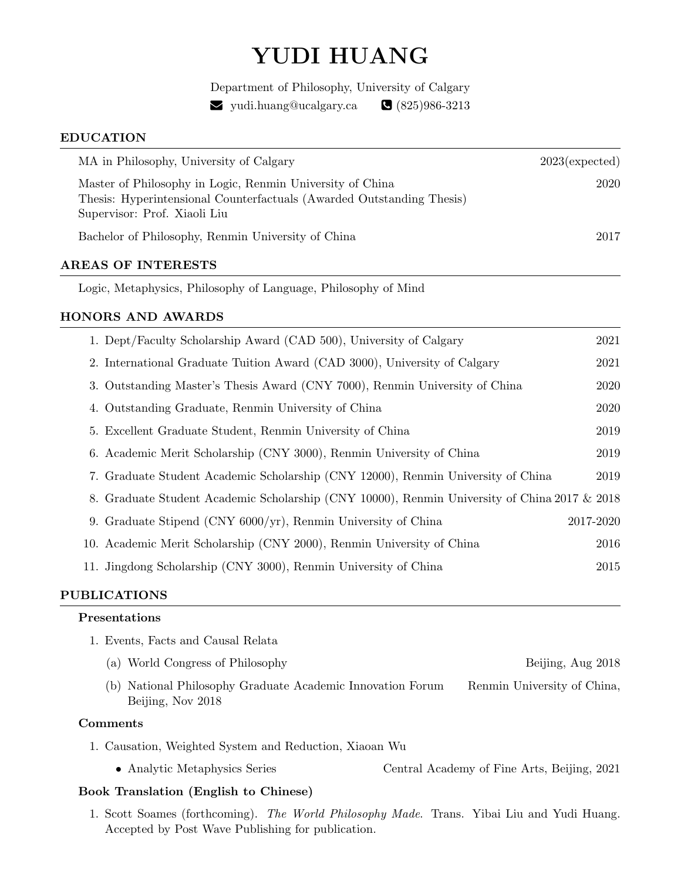# YUDI HUANG

Department of Philosophy, University of Calgary  $\blacktriangleright$  yudi.huang@ucalgary.ca  $\blacktriangleright$  (825)986-3213

## EDUCATION

| $2023$ (expected) |
|-------------------|
| 2020              |
| 2017              |
|                   |
|                   |
|                   |
| 2021              |
| 2021              |
| 2020              |
| 2020              |
| 2019              |
| 2019              |
|                   |

- 7. Graduate Student Academic Scholarship (CNY 12000), Renmin University of China 2019
- 8. Graduate Student Academic Scholarship (CNY 10000), Renmin University of China 2017 & 2018
- 9. Graduate Stipend (CNY 6000/yr), Renmin University of China 2017-2020 10. Academic Merit Scholarship (CNY 2000), Renmin University of China 2016 11. Jingdong Scholarship (CNY 3000), Renmin University of China 2015

# PUBLICATIONS

# Presentations

- 1. Events, Facts and Causal Relata
	- (a) World Congress of Philosophy Beijing, Aug 2018 (b) National Philosophy Graduate Academic Innovation Forum Renmin University of China, Beijing, Nov 2018

# Comments

- 1. Causation, Weighted System and Reduction, Xiaoan Wu
	- Analytic Metaphysics Series Central Academy of Fine Arts, Beijing, 2021

# Book Translation (English to Chinese)

1. Scott Soames (forthcoming). The World Philosophy Made. Trans. Yibai Liu and Yudi Huang. Accepted by Post Wave Publishing for publication.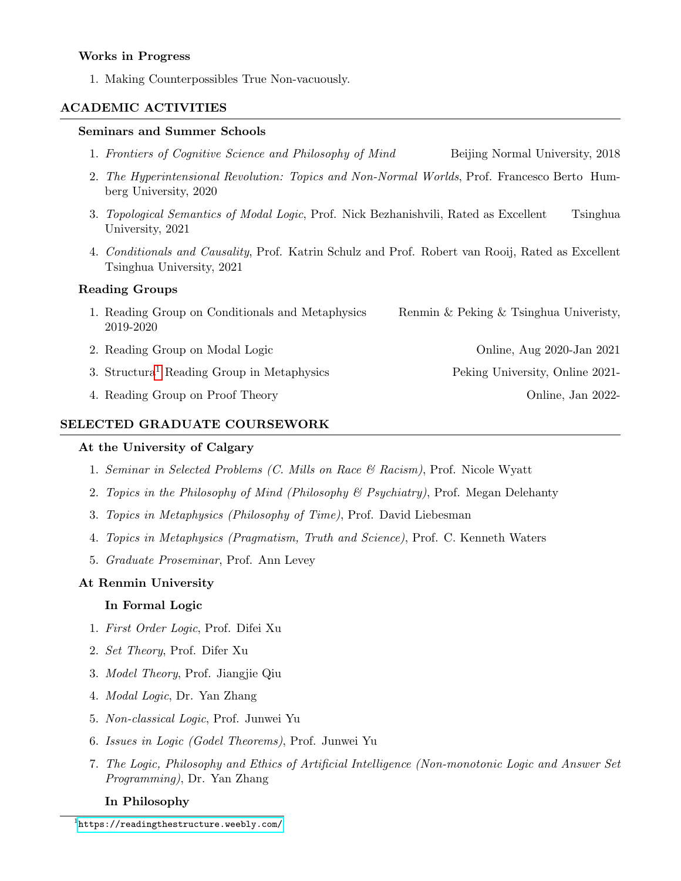#### Works in Progress

1. Making Counterpossibles True Non-vacuously.

## ACADEMIC ACTIVITIES

#### Seminars and Summer Schools

- 1. Frontiers of Cognitive Science and Philosophy of Mind Beijing Normal University, 2018
- 2. The Hyperintensional Revolution: Topics and Non-Normal Worlds, Prof. Francesco Berto Humberg University, 2020
- 3. Topological Semantics of Modal Logic, Prof. Nick Bezhanishvili, Rated as Excellent Tsinghua University, 2021
- 4. Conditionals and Causality, Prof. Katrin Schulz and Prof. Robert van Rooij, Rated as Excellent Tsinghua University, 2021

#### Reading Groups

- 1. Reading Group on Conditionals and Metaphysics Renmin & Peking & Tsinghua University, 2019-2020
- 2. Reading Group on Modal Logic Online, Aug 2020-Jan 2021
- 3. Structura[1](#page-1-0) Reading Group in Metaphysics Peking University, Online 2021-
- 4. Reading Group on Proof Theory Online, Jan 2022-

#### SELECTED GRADUATE COURSEWORK

#### At the University of Calgary

- 1. Seminar in Selected Problems (C. Mills on Race  $\mathcal{B}$  Racism), Prof. Nicole Wyatt
- 2. Topics in the Philosophy of Mind (Philosophy & Psychiatry), Prof. Megan Delehanty
- 3. Topics in Metaphysics (Philosophy of Time), Prof. David Liebesman
- 4. Topics in Metaphysics (Pragmatism, Truth and Science), Prof. C. Kenneth Waters
- 5. Graduate Proseminar, Prof. Ann Levey

#### At Renmin University

#### In Formal Logic

- 1. First Order Logic, Prof. Difei Xu
- 2. Set Theory, Prof. Difer Xu
- 3. Model Theory, Prof. Jiangjie Qiu
- 4. Modal Logic, Dr. Yan Zhang
- 5. Non-classical Logic, Prof. Junwei Yu
- 6. Issues in Logic (Godel Theorems), Prof. Junwei Yu
- 7. The Logic, Philosophy and Ethics of Artificial Intelligence (Non-monotonic Logic and Answer Set Programming), Dr. Yan Zhang

#### In Philosophy

<span id="page-1-0"></span> $^1$ <https://readingthestructure.weebly.com/>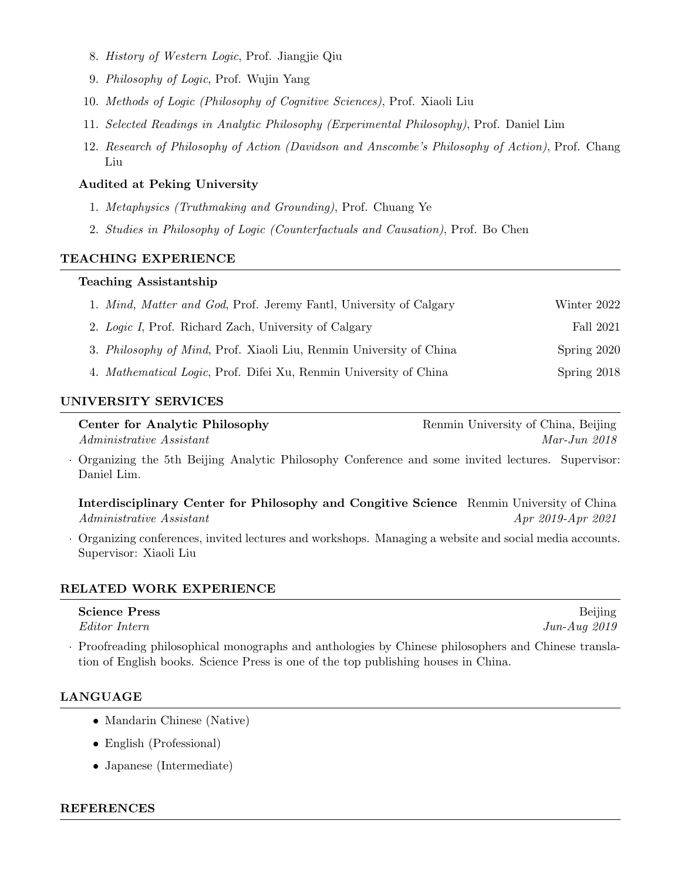- 8. History of Western Logic, Prof. Jiangjie Qiu
- 9. Philosophy of Logic, Prof. Wujin Yang
- 10. Methods of Logic (Philosophy of Cognitive Sciences), Prof. Xiaoli Liu
- 11. Selected Readings in Analytic Philosophy (Experimental Philosophy), Prof. Daniel Lim
- 12. Research of Philosophy of Action (Davidson and Anscombe's Philosophy of Action), Prof. Chang Liu

## Audited at Peking University

- 1. Metaphysics (Truthmaking and Grounding), Prof. Chuang Ye
- 2. Studies in Philosophy of Logic (Counterfactuals and Causation), Prof. Bo Chen

#### TEACHING EXPERIENCE

#### Teaching Assistantship

| 1. Mind, Matter and God, Prof. Jeremy Fantl, University of Calgary          | Winter 2022 |
|-----------------------------------------------------------------------------|-------------|
| 2. Logic I, Prof. Richard Zach, University of Calgary                       | Fall 2021   |
| 3. <i>Philosophy of Mind</i> , Prof. Xiaoli Liu, Renmin University of China | Spring 2020 |
| 4. <i>Mathematical Logic</i> , Prof. Difei Xu, Renmin University of China   | Spring 2018 |

## UNIVERSITY SERVICES

**Center for Analytic Philosophy** Renmin University of China, Beijing Administrative Assistant Mar-Jun 2018

· Organizing the 5th Beijing Analytic Philosophy Conference and some invited lectures. Supervisor: Daniel Lim.

Interdisciplinary Center for Philosophy and Congitive Science Renmin University of China Administrative Assistant Apr 2019-Apr 2021

· Organizing conferences, invited lectures and workshops. Managing a website and social media accounts. Supervisor: Xiaoli Liu

#### RELATED WORK EXPERIENCE

| <b>Science Press</b> | Beijing        |
|----------------------|----------------|
| <i>Editor Intern</i> | $Jun-Auq 2019$ |

· Proofreading philosophical monographs and anthologies by Chinese philosophers and Chinese translation of English books. Science Press is one of the top publishing houses in China.

## LANGUAGE

- Mandarin Chinese (Native)
- English (Professional)
- Japanese (Intermediate)

#### REFERENCES